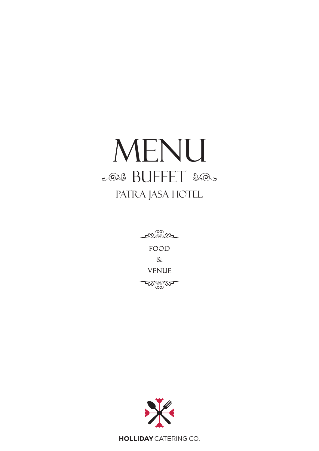## MENU 2020 BUFFET 2005 PATRA JASA HOTEL

 $C^{(00)}_{\text{min}}$ FOOD  $\delta$ **VENUE**  $\mathscr{A}_{\mathbb{C}_\infty^{\infty}}$ 



**HOLLIDAY** CATERING CO.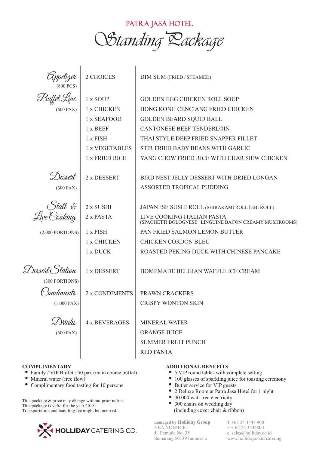

| Tippelizer<br>(800 PCS)                                        | 2 CHOICES                                                                                            | DIM SUM (FRIED / STEAMED)                                                                                                                                                                                                                                                 |
|----------------------------------------------------------------|------------------------------------------------------------------------------------------------------|---------------------------------------------------------------------------------------------------------------------------------------------------------------------------------------------------------------------------------------------------------------------------|
| Buffet Line<br>(600 PAX)                                       | 1 x SOUP<br>1 x CHICKEN<br>1 x SEAFOOD<br>1 x BEEF<br>$1 x$ FISH<br>1 x VEGETABLES<br>1 x FRIED RICE | <b>GOLDEN EGG CHICKEN ROLL SOUP</b><br>HONG KONG CENCIANG FRIED CHICKEN<br><b>GOLDEN BEARD SQUID BALL</b><br><b>CANTONESE BEEF TENDERLOIN</b><br>THAI STYLE DEEP FRIED SNAPPER FILLET<br>STIR FRIED BABY BEANS WITH GARLIC<br>YANG CHOW FRIED RICE WITH CHAR SIEW CHICKEN |
| Dessert<br>(600 PAX)                                           | 2 x DESSERT                                                                                          | BIRD NEST JELLY DESSERT WITH DRIED LONGAN<br>ASSORTED TROPICAL PUDDING                                                                                                                                                                                                    |
| (2.000 PORTIONS)                                               | 2 x SUSHI<br>2 x PASTA<br>1 x FISH<br>1 x CHICKEN<br>1 x DUCK                                        | JAPANESE SUSHI ROLL (SHIRAKAMI ROLL   EBI ROLL)<br>LIVE COOKING ITALIAN PASTA<br>(SPAGHETTI BOLOGNESE   LINGUINE BACON CREAMY MUSHROOMS)<br>PAN FRIED SALMON LEMON BUTTER<br><b>CHICKEN CORDON BLEU</b><br>ROASTED PEKING DUCK WITH CHINESE PANCAKE                       |
| Dessert (Station<br>(300 PORTIONS)<br>rndiments<br>(1.000 PAX) | 1 x DESSERT<br>2 x CONDIMENTS                                                                        | HOMEMADE BELGIAN WAFFLE ICE CREAM<br>PRAWN CRACKERS<br><b>CRISPY WONTON SKIN</b>                                                                                                                                                                                          |
| $\mathcal{L}$ Thinks<br>(600 PAX)                              | <b>4 x BEVERAGES</b>                                                                                 | <b>MINERAL WATER</b><br>ORANGE JUICE<br><b>SUMMER FRUIT PUNCH</b><br><b>RED FANTA</b>                                                                                                                                                                                     |

## **COMPLIMENTARY**

- Family / VIP Buffet : 50 pax (main course buffet)
- Mineral water (free flow)
- Complimentary food tasting for 10 persons

This package & price may change without prior notice. This package is valid for the year 2018. Transportation and handling fee might be incurred.



## **ADDITIONAL BENEFITS**

- 5 VIP round tables with complete setting
- 100 glasses of sparkling juice for toasting ceremony
- Butler service for VIP guests
- 2 Deluxe Room at Patra Jasa Hotel for 1 night
- 30.000 watt free electricity
- 300 chairs on wedding day (including cover chair & ribbon)

**managed by Holliday Group** HEAD OFFICE: Jl. Pemuda No. 35 Semarang 50139 Indonesia

T +62 24 3545 900 F + 62 24 3542800 e. sales@holliday.co.id www.holliday.co.id/catering